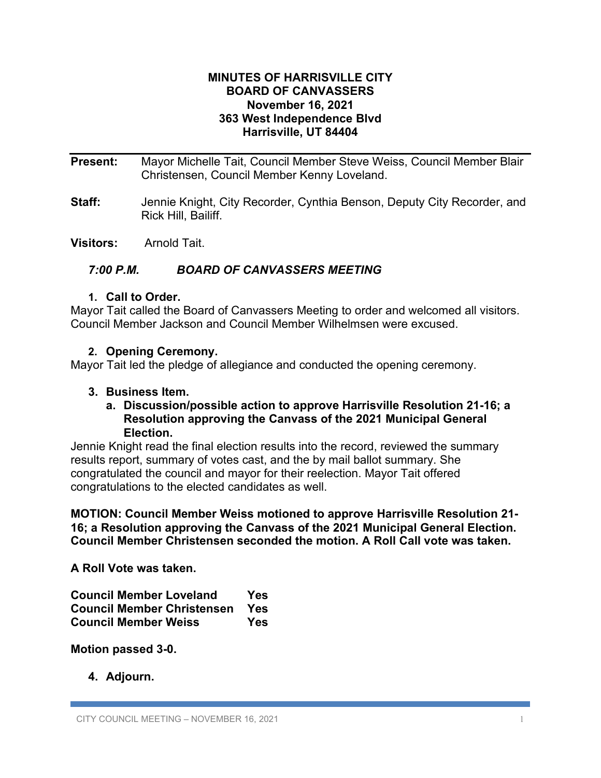# **MINUTES OF HARRISVILLE CITY BOARD OF CANVASSERS November 16, 2021 363 West Independence Blvd Harrisville, UT 84404**

**Present:** Mayor Michelle Tait, Council Member Steve Weiss, Council Member Blair Christensen, Council Member Kenny Loveland.

**Staff:** Jennie Knight, City Recorder, Cynthia Benson, Deputy City Recorder, and Rick Hill, Bailiff.

**Visitors:** Arnold Tait.

# *7:00 P.M. BOARD OF CANVASSERS MEETING*

# **1. Call to Order.**

Mayor Tait called the Board of Canvassers Meeting to order and welcomed all visitors. Council Member Jackson and Council Member Wilhelmsen were excused.

# **2. Opening Ceremony.**

Mayor Tait led the pledge of allegiance and conducted the opening ceremony.

#### **3. Business Item.**

# **a. Discussion/possible action to approve Harrisville Resolution 21-16; a Resolution approving the Canvass of the 2021 Municipal General Election.**

Jennie Knight read the final election results into the record, reviewed the summary results report, summary of votes cast, and the by mail ballot summary. She congratulated the council and mayor for their reelection. Mayor Tait offered congratulations to the elected candidates as well.

**MOTION: Council Member Weiss motioned to approve Harrisville Resolution 21- 16; a Resolution approving the Canvass of the 2021 Municipal General Election. Council Member Christensen seconded the motion. A Roll Call vote was taken.**

**A Roll Vote was taken.**

| <b>Council Member Loveland</b>    | Yes |
|-----------------------------------|-----|
| <b>Council Member Christensen</b> | Yes |
| <b>Council Member Weiss</b>       | Yes |

**Motion passed 3-0.**

**4. Adjourn.**